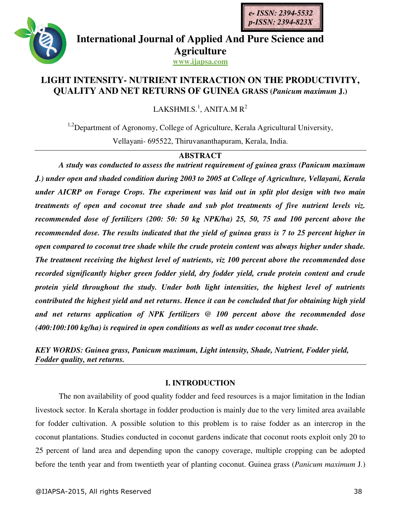



**International Journal of Applied And Pure Science and Agriculture**

**www.ijapsa.com**

# **LIGHT INTENSITY- NUTRIENT INTERACTION ON THE PRODUCTIVITY, QUALITY AND NET RETURNS OF GUINEA GRASS (***Panicum maximum* **J.)**

LAKSHMI.S.<sup>1</sup>, ANITA.M R<sup>2</sup>

<sup>1,2</sup>Department of Agronomy, College of Agriculture, Kerala Agricultural University, Vellayani- 695522, Thiruvananthapuram, Kerala, India.

## **ABSTRACT**

*A study was conducted to assess the nutrient requirement of guinea grass (Panicum maximum J.) under open and shaded condition during 2003 to 2005 at College of Agriculture, Vellayani, Kerala under AICRP on Forage Crops. The experiment was laid out in split plot design with two main treatments of open and coconut tree shade and sub plot treatments of five nutrient levels viz. recommended dose of fertilizers (200: 50: 50 kg NPK/ha) 25, 50, 75 and 100 percent above the recommended dose. The results indicated that the yield of guinea grass is 7 to 25 percent higher in open compared to coconut tree shade while the crude protein content was always higher under shade. The treatment receiving the highest level of nutrients, viz 100 percent above the recommended dose recorded significantly higher green fodder yield, dry fodder yield, crude protein content and crude protein yield throughout the study. Under both light intensities, the highest level of nutrients contributed the highest yield and net returns. Hence it can be concluded that for obtaining high yield and net returns application of NPK fertilizers @ 100 percent above the recommended dose (400:100:100 kg/ha) is required in open conditions as well as under coconut tree shade.* 

*KEY WORDS: Guinea grass, Panicum maximum, Light intensity, Shade, Nutrient, Fodder yield, Fodder quality, net returns.* 

## **I. INTRODUCTION**

The non availability of good quality fodder and feed resources is a major limitation in the Indian livestock sector. In Kerala shortage in fodder production is mainly due to the very limited area available for fodder cultivation. A possible solution to this problem is to raise fodder as an intercrop in the coconut plantations. Studies conducted in coconut gardens indicate that coconut roots exploit only 20 to 25 percent of land area and depending upon the canopy coverage, multiple cropping can be adopted before the tenth year and from twentieth year of planting coconut. Guinea grass (*Panicum maximum* J*.*)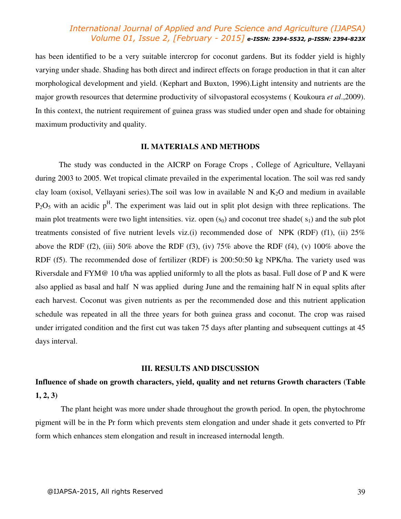has been identified to be a very suitable intercrop for coconut gardens. But its fodder yield is highly varying under shade. Shading has both direct and indirect effects on forage production in that it can alter morphological development and yield. (Kephart and Buxton, 1996).Light intensity and nutrients are the major growth resources that determine productivity of silvopastoral ecosystems ( Koukoura *et al*.,2009). In this context, the nutrient requirement of guinea grass was studied under open and shade for obtaining maximum productivity and quality.

#### **II. MATERIALS AND METHODS**

The study was conducted in the AICRP on Forage Crops , College of Agriculture, Vellayani during 2003 to 2005. Wet tropical climate prevailed in the experimental location. The soil was red sandy clay loam (oxisol, Vellayani series). The soil was low in available N and  $K_2O$  and medium in available  $P_2O_5$  with an acidic  $p<sup>H</sup>$ . The experiment was laid out in split plot design with three replications. The main plot treatments were two light intensities. viz. open  $(s_0)$  and coconut tree shade( $s_1$ ) and the sub plot treatments consisted of five nutrient levels viz.(i) recommended dose of NPK (RDF) (f1), (ii)  $25\%$ above the RDF (f2), (iii) 50% above the RDF (f3), (iv) 75% above the RDF (f4), (v) 100% above the RDF (f5). The recommended dose of fertilizer (RDF) is 200:50:50 kg NPK/ha. The variety used was Riversdale and FYM@ 10 t/ha was applied uniformly to all the plots as basal. Full dose of P and K were also applied as basal and half N was applied during June and the remaining half N in equal splits after each harvest. Coconut was given nutrients as per the recommended dose and this nutrient application schedule was repeated in all the three years for both guinea grass and coconut. The crop was raised under irrigated condition and the first cut was taken 75 days after planting and subsequent cuttings at 45 days interval.

#### **III. RESULTS AND DISCUSSION**

# **Influence of shade on growth characters, yield, quality and net returns Growth characters (Table 1, 2, 3)**

 The plant height was more under shade throughout the growth period. In open, the phytochrome pigment will be in the Pr form which prevents stem elongation and under shade it gets converted to Pfr form which enhances stem elongation and result in increased internodal length.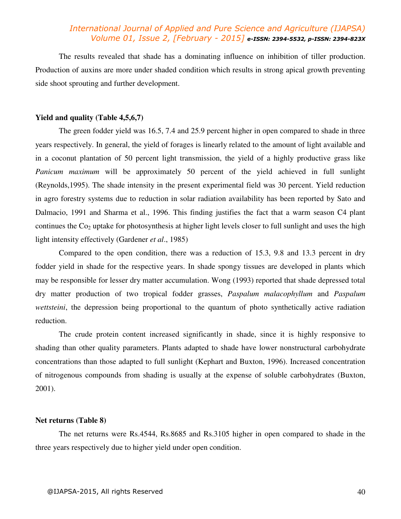The results revealed that shade has a dominating influence on inhibition of tiller production. Production of auxins are more under shaded condition which results in strong apical growth preventing side shoot sprouting and further development.

### **Yield and quality (Table 4,5,6,7)**

The green fodder yield was 16.5, 7.4 and 25.9 percent higher in open compared to shade in three years respectively. In general, the yield of forages is linearly related to the amount of light available and in a coconut plantation of 50 percent light transmission, the yield of a highly productive grass like *Panicum maximum* will be approximately 50 percent of the yield achieved in full sunlight (Reynolds,1995). The shade intensity in the present experimental field was 30 percent. Yield reduction in agro forestry systems due to reduction in solar radiation availability has been reported by Sato and Dalmacio, 1991 and Sharma et al., 1996. This finding justifies the fact that a warm season C4 plant continues the  $Co<sub>2</sub>$  uptake for photosynthesis at higher light levels closer to full sunlight and uses the high light intensity effectively (Gardener *et al*., 1985)

Compared to the open condition, there was a reduction of 15.3, 9.8 and 13.3 percent in dry fodder yield in shade for the respective years. In shade spongy tissues are developed in plants which may be responsible for lesser dry matter accumulation. Wong (1993) reported that shade depressed total dry matter production of two tropical fodder grasses, *Paspalum malacophyllum* and *Paspalum wettsteini*, the depression being proportional to the quantum of photo synthetically active radiation reduction.

The crude protein content increased significantly in shade, since it is highly responsive to shading than other quality parameters. Plants adapted to shade have lower nonstructural carbohydrate concentrations than those adapted to full sunlight (Kephart and Buxton, 1996). Increased concentration of nitrogenous compounds from shading is usually at the expense of soluble carbohydrates (Buxton, 2001).

#### **Net returns (Table 8)**

The net returns were Rs.4544, Rs.8685 and Rs.3105 higher in open compared to shade in the three years respectively due to higher yield under open condition.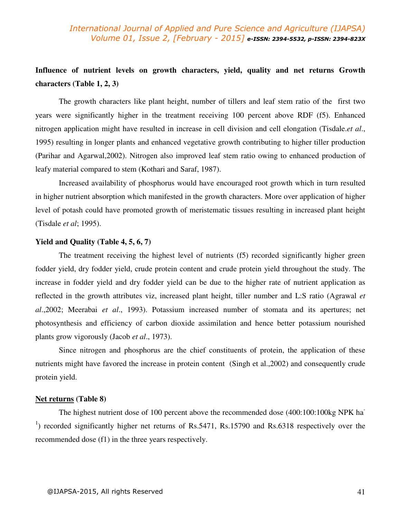# **Influence of nutrient levels on growth characters, yield, quality and net returns Growth characters (Table 1, 2, 3)**

The growth characters like plant height, number of tillers and leaf stem ratio of the first two years were significantly higher in the treatment receiving 100 percent above RDF (f5). Enhanced nitrogen application might have resulted in increase in cell division and cell elongation (Tisdale.*et al*., 1995) resulting in longer plants and enhanced vegetative growth contributing to higher tiller production (Parihar and Agarwal,2002). Nitrogen also improved leaf stem ratio owing to enhanced production of leafy material compared to stem (Kothari and Saraf, 1987).

Increased availability of phosphorus would have encouraged root growth which in turn resulted in higher nutrient absorption which manifested in the growth characters. More over application of higher level of potash could have promoted growth of meristematic tissues resulting in increased plant height (Tisdale *et al*; 1995).

### **Yield and Quality (Table 4, 5, 6, 7)**

The treatment receiving the highest level of nutrients (f5) recorded significantly higher green fodder yield, dry fodder yield, crude protein content and crude protein yield throughout the study. The increase in fodder yield and dry fodder yield can be due to the higher rate of nutrient application as reflected in the growth attributes viz, increased plant height, tiller number and L:S ratio (Agrawal *et al*.,2002; Meerabai *et al*., 1993). Potassium increased number of stomata and its apertures; net photosynthesis and efficiency of carbon dioxide assimilation and hence better potassium nourished plants grow vigorously (Jacob *et al*., 1973).

Since nitrogen and phosphorus are the chief constituents of protein, the application of these nutrients might have favored the increase in protein content (Singh et al.,2002) and consequently crude protein yield.

#### **Net returns (Table 8)**

The highest nutrient dose of 100 percent above the recommended dose (400:100:100kg NPK ha <sup>1</sup>) recorded significantly higher net returns of Rs.5471, Rs.15790 and Rs.6318 respectively over the recommended dose (f1) in the three years respectively.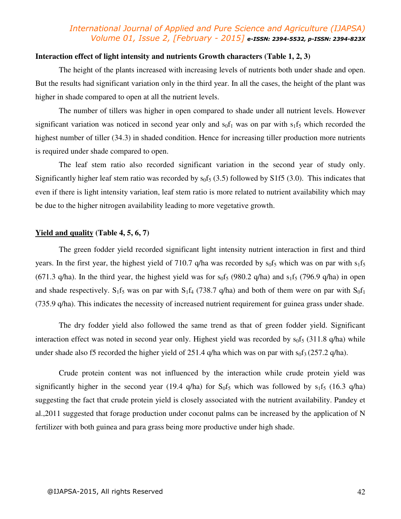### **Interaction effect of light intensity and nutrients Growth characters (Table 1, 2, 3)**

The height of the plants increased with increasing levels of nutrients both under shade and open. But the results had significant variation only in the third year. In all the cases, the height of the plant was higher in shade compared to open at all the nutrient levels.

The number of tillers was higher in open compared to shade under all nutrient levels. However significant variation was noticed in second year only and  $\frac{1}{2}$  was on par with  $\frac{1}{5}$  which recorded the highest number of tiller (34.3) in shaded condition. Hence for increasing tiller production more nutrients is required under shade compared to open.

The leaf stem ratio also recorded significant variation in the second year of study only. Significantly higher leaf stem ratio was recorded by  $s_0f_5$  (3.5) followed by S1f5 (3.0). This indicates that even if there is light intensity variation, leaf stem ratio is more related to nutrient availability which may be due to the higher nitrogen availability leading to more vegetative growth.

### **Yield and quality (Table 4, 5, 6, 7)**

The green fodder yield recorded significant light intensity nutrient interaction in first and third years. In the first year, the highest yield of 710.7 q/ha was recorded by  $s_0f_5$  which was on par with  $s_1f_5$ (671.3 q/ha). In the third year, the highest yield was for  $s_0f_5$  (980.2 q/ha) and  $s_1f_5$  (796.9 q/ha) in open and shade respectively. S<sub>1</sub>f<sub>5</sub> was on par with S<sub>1</sub>f<sub>4</sub> (738.7 q/ha) and both of them were on par with S<sub>0</sub>f<sub>1</sub> (735.9 q/ha). This indicates the necessity of increased nutrient requirement for guinea grass under shade.

The dry fodder yield also followed the same trend as that of green fodder yield. Significant interaction effect was noted in second year only. Highest yield was recorded by  $s_0f_5$  (311.8 q/ha) while under shade also f5 recorded the higher yield of 251.4 q/ha which was on par with  $s_0f_3$  (257.2 q/ha).

Crude protein content was not influenced by the interaction while crude protein yield was significantly higher in the second year (19.4 q/ha) for  $S_0f_5$  which was followed by  $s_1f_5$  (16.3 q/ha) suggesting the fact that crude protein yield is closely associated with the nutrient availability. Pandey et al.,2011 suggested that forage production under coconut palms can be increased by the application of N fertilizer with both guinea and para grass being more productive under high shade.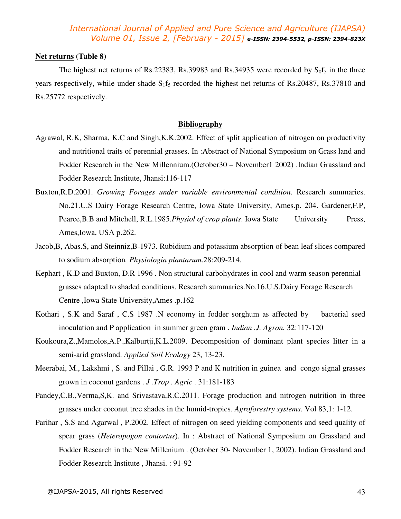### **Net returns (Table 8)**

The highest net returns of Rs.22383, Rs.39983 and Rs.34935 were recorded by  $S_0f_5$  in the three years respectively, while under shade  $S_1f_5$  recorded the highest net returns of Rs.20487, Rs.37810 and Rs.25772 respectively.

### **Bibliography**

- Agrawal, R.K, Sharma, K.C and Singh,K.K.2002. Effect of split application of nitrogen on productivity and nutritional traits of perennial grasses. In :Abstract of National Symposium on Grass land and Fodder Research in the New Millennium.(October30 – November1 2002) .Indian Grassland and Fodder Research Institute, Jhansi:116-117
- Buxton,R.D.2001. *Growing Forages under variable environmental condition*. Research summaries. No.21.U.S Dairy Forage Research Centre, Iowa State University, Ames.p. 204. Gardener,F.P, Pearce, B.B and Mitchell, R.L.1985.*Physiol of crop plants*. Iowa State University Press, Ames,Iowa, USA p.262.
- Jacob,B, Abas.S, and Steinniz,B-1973. Rubidium and potassium absorption of bean leaf slices compared to sodium absorption*. Physiologia plantarum*.28:209-214.
- Kephart , K.D and Buxton, D.R 1996 . Non structural carbohydrates in cool and warm season perennial grasses adapted to shaded conditions. Research summaries.No.16.U.S.Dairy Forage Research Centre ,Iowa State University,Ames .p.162
- Kothari , S.K and Saraf , C.S 1987 .N economy in fodder sorghum as affected by bacterial seed inoculation and P application in summer green gram . *Indian .J. Agron.* 32:117-120
- Koukoura,Z.,Mamolos,A.P.,Kalburtji,K.L.2009. Decomposition of dominant plant species litter in a semi-arid grassland. *Applied Soil Ecology* 23, 13-23.
- Meerabai, M., Lakshmi , S. and Pillai , G.R. 1993 P and K nutrition in guinea and congo signal grasses grown in coconut gardens . *J .Trop . Agric* . 31:181-183
- Pandey,C.B.,Verma,S,K. and Srivastava,R.C.2011. Forage production and nitrogen nutrition in three grasses under coconut tree shades in the humid-tropics. *Agroforestry systems*. Vol 83,1: 1-12.
- Parihar , S.S and Agarwal , P.2002. Effect of nitrogen on seed yielding components and seed quality of spear grass (*Heteropogon contortus*). In : Abstract of National Symposium on Grassland and Fodder Research in the New Millenium . (October 30- November 1, 2002). Indian Grassland and Fodder Research Institute , Jhansi. : 91-92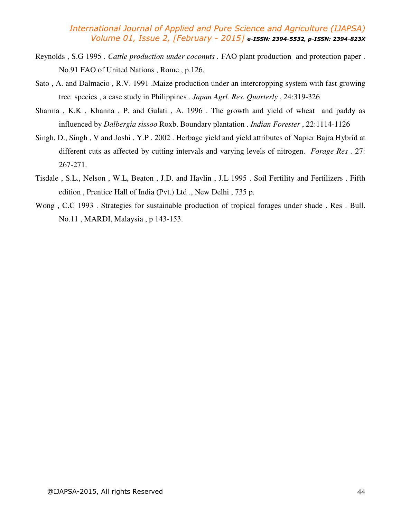- Reynolds , S.G 1995 . *Cattle production under coconuts .* FAO plant production and protection paper . No.91 FAO of United Nations , Rome , p.126.
- Sato , A. and Dalmacio , R.V. 1991 .Maize production under an intercropping system with fast growing tree species , a case study in Philippines . *Japan Agrl. Res. Quarterly* , 24:319-326
- Sharma , K.K , Khanna , P. and Gulati , A. 1996 . The growth and yield of wheat and paddy as influenced by *Dalbergia sissoo* Roxb. Boundary plantation . *Indian Forester* , 22:1114-1126
- Singh, D., Singh , V and Joshi , Y.P . 2002 . Herbage yield and yield attributes of Napier Bajra Hybrid at different cuts as affected by cutting intervals and varying levels of nitrogen. *Forage Res .* 27: 267-271.
- Tisdale , S.L., Nelson , W.L, Beaton , J.D. and Havlin , J.L 1995 . Soil Fertility and Fertilizers . Fifth edition , Prentice Hall of India (Pvt.) Ltd ., New Delhi , 735 p.
- Wong , C.C 1993 . Strategies for sustainable production of tropical forages under shade . Res . Bull. No.11 , MARDI, Malaysia , p 143-153.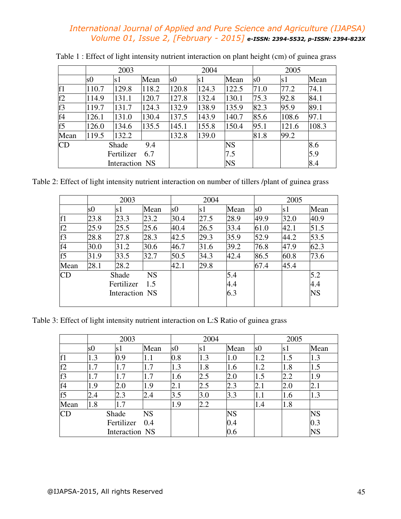|                |              | 2003           |       |       | 2004  |           | 2005           |       |       |
|----------------|--------------|----------------|-------|-------|-------|-----------|----------------|-------|-------|
|                | s0           | s1             | Mean  | s0    | s1    | Mean      | s <sub>0</sub> | s1    | Mean  |
| f1             | 110.7        | 129.8          | 118.2 | 120.8 | 124.3 | 122.5     | 71.0           | 77.2  | 74.1  |
| f2             | 114.9        | 131.1          | 120.7 | 127.8 | 132.4 | 130.1     | 75.3           | 92.8  | 84.1  |
| f3             | 119.7        | 131.7          | 124.3 | 132.9 | 138.9 | 135.9     | 82.3           | 95.9  | 89.1  |
| f4             | 126.1        | 131.0          | 130.4 | 137.5 | 143.9 | 140.7     | 85.6           | 108.6 | 97.1  |
| f <sub>5</sub> | 126.0        | 134.6          | 135.5 | 145.1 | 155.8 | 150.4     | 95.1           | 121.6 | 108.3 |
| Mean           | 119.5        | 132.2          |       | 132.8 | 139.0 |           | 81.8           | 99.2  |       |
| CD             | 9.4<br>Shade |                |       |       |       | <b>NS</b> |                |       | 8.6   |
|                |              | Fertilizer     | 6.7   |       |       | 7.5       |                |       | 5.9   |
|                |              | Interaction NS |       |       |       | <b>NS</b> |                |       | 8.4   |

Table 1 : Effect of light intensity nutrient interaction on plant height (cm) of guinea grass

Table 2: Effect of light intensity nutrient interaction on number of tillers /plant of guinea grass

|                |      | 2003           |           |      | 2004 |      |      | 2005 |           |  |
|----------------|------|----------------|-----------|------|------|------|------|------|-----------|--|
|                | s0   | s1             | Mean      | s0   | s1   | Mean | s0   | s1   | Mean      |  |
| f <sub>1</sub> | 23.8 | 23.3           | 23.2      | 30.4 | 27.5 | 28.9 | 49.9 | 32.0 | 40.9      |  |
| f2             | 25.9 | 25.5           | 25.6      | 40.4 | 26.5 | 33.4 | 61.0 | 42.1 | 51.5      |  |
| f3             | 28.8 | 27.8           | 28.3      | 42.5 | 29.3 | 35.9 | 52.9 | 44.2 | 53.5      |  |
| f4             | 30.0 | 31.2           | 30.6      | 46.7 | 31.6 | 39.2 | 76.8 | 47.9 | 62.3      |  |
| f <sub>5</sub> | 31.9 | 33.5           | 32.7      | 50.5 | 34.3 | 42.4 | 86.5 | 60.8 | 73.6      |  |
| Mean           | 28.1 | 28.2           |           | 42.1 | 29.8 |      | 67.4 | 45.4 |           |  |
| CD             |      | Shade          | <b>NS</b> |      |      | 5.4  |      |      | 5.2       |  |
|                |      | Fertilizer     | 1.5       |      |      | 4.4  |      |      | 4.4       |  |
|                |      | Interaction NS |           |      |      | 6.3  |      |      | <b>NS</b> |  |
|                |      |                |           |      |      |      |      |      |           |  |

Table 3: Effect of light intensity nutrient interaction on L:S Ratio of guinea grass

|                |     | 2003           |           |               | 2004 |           | 2005           |     |           |
|----------------|-----|----------------|-----------|---------------|------|-----------|----------------|-----|-----------|
|                | s0  | s1             | Mean      | <sub>s0</sub> | s1   | Mean      | s <sub>0</sub> | s1  | Mean      |
| f <sub>1</sub> | 1.3 | 0.9            | 1.1       | 0.8           | 1.3  | 1.0       | 1.2            | 1.5 | 1.3       |
| f2             | 1.7 | 1.7            | 1.7       | 1.3           | 1.8  | 1.6       | 1.2            | 1.8 | 1.5       |
| f3             | 1.7 | 1.7            | 1.7       | 1.6           | 2.5  | 2.0       | 1.5            | 2.2 | 1.9       |
| f4             | 1.9 | 2.0            | 1.9       | 2.1           | 2.5  | 2.3       | 2.1            | 2.0 | 2.1       |
| f <sub>5</sub> | 2.4 | 2.3            | 2.4       | 3.5           | 3.0  | 3.3       | 1.1            | 1.6 | 1.3       |
| Mean           | 1.8 | 1.7            |           | 1.9           | 2.2  |           | 1.4            | 1.8 |           |
| <b>CD</b>      |     | Shade          | <b>NS</b> |               |      | <b>NS</b> |                |     | <b>NS</b> |
|                |     | Fertilizer     | 0.4       |               |      | 0.4       |                |     | 0.3       |
|                |     | Interaction NS |           |               |      | 0.6       |                |     | <b>NS</b> |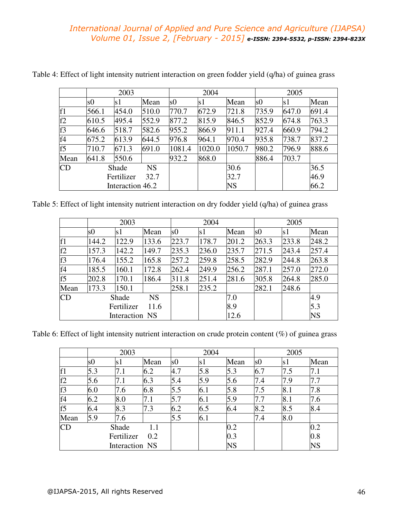|      | 2003               |                  |       |                | 2004   |           |       | 2005  |       |  |
|------|--------------------|------------------|-------|----------------|--------|-----------|-------|-------|-------|--|
|      | s0                 | s1               | Mean  | s <sub>0</sub> | s1     | Mean      | s0    | s1    | Mean  |  |
| f1   | 566.1              | 454.0            | 510.0 | 770.7          | 672.9  | 721.8     | 735.9 | 647.0 | 691.4 |  |
| f2   | 610.5              | 495.4            | 552.9 | 877.2          | 815.9  | 846.5     | 852.9 | 674.8 | 763.3 |  |
| f3   | 646.6              | 518.7            | 582.6 | 955.2          | 866.9  | 911.1     | 927.4 | 660.9 | 794.2 |  |
| f4   | 675.2              | 613.9            | 644.5 | 976.8          | 964.1  | 970.4     | 935.8 | 738.7 | 837.2 |  |
| f5   | 710.7              | 671.3            | 691.0 | 1081.4         | 1020.0 | 1050.7    | 980.2 | 796.9 | 888.6 |  |
| Mean | 641.8              | 550.6            |       | 932.2          | 868.0  |           | 886.4 | 703.7 |       |  |
| CD   | <b>NS</b><br>Shade |                  |       |                |        | 30.6      |       |       | 36.5  |  |
|      | 32.7<br>Fertilizer |                  |       |                |        | 32.7      |       |       | 46.9  |  |
|      |                    | Interaction 46.2 |       |                |        | <b>NS</b> |       |       | 66.2  |  |

Table 4: Effect of light intensity nutrient interaction on green fodder yield (q/ha) of guinea grass

| Table 5: Effect of light intensity nutrient interaction on dry fodder yield (q/ha) of guinea grass |  |  |
|----------------------------------------------------------------------------------------------------|--|--|
|                                                                                                    |  |  |

|                |       | 2003           |           |       | 2004  |       | 2005           |       |           |
|----------------|-------|----------------|-----------|-------|-------|-------|----------------|-------|-----------|
|                | s0    | s1             | Mean      | s0    | s1    | Mean  | s <sub>0</sub> | s1    | Mean      |
| f <sub>1</sub> | 144.2 | 122.9          | 133.6     | 223.7 | 178.7 | 201.2 | 263.3          | 233.8 | 248.2     |
| f2             | 157.3 | 142.2          | 149.7     | 235.3 | 236.0 | 235.7 | 271.5          | 243.4 | 257.4     |
| f3             | 176.4 | 155.2          | 165.8     | 257.2 | 259.8 | 258.5 | 282.9          | 244.8 | 263.8     |
| f4             | 185.5 | 160.1          | 172.8     | 262.4 | 249.9 | 256.2 | 287.1          | 257.0 | 272.0     |
| f5             | 202.8 | 170.1          | 186.4     | 311.8 | 251.4 | 281.6 | 305.8          | 264.8 | 285.0     |
| Mean           | 173.3 | 150.1          |           | 258.1 | 235.2 |       | 282.1          | 248.6 |           |
| CD             |       | Shade          | <b>NS</b> |       |       | 7.0   |                |       | 4.9       |
|                |       | Fertilizer     | 11.6      |       |       | 8.9   |                |       | 5.3       |
|                |       | Interaction NS |           |       |       | 12.6  |                |       | <b>NS</b> |

Table 6: Effect of light intensity nutrient interaction on crude protein content (%) of guinea grass

|                |     | 2003              |      |                | 2004 |      |                | 2005 |           |  |
|----------------|-----|-------------------|------|----------------|------|------|----------------|------|-----------|--|
|                | s0  | s1                | Mean | s <sub>0</sub> | s1   | Mean | s <sub>0</sub> | s1   | Mean      |  |
| f <sub>1</sub> | 5.3 | 7.1               | 6.2  | 4.7            | 5.8  | 5.3  | 6.7            | 7.5  | 7.1       |  |
| f2             | 5.6 | 7.1               | 6.3  | 5.4            | 5.9  | 5.6  | 7.4            | 7.9  | 7.7       |  |
| f3             | 6.0 | 7.6               | 6.8  | 5.5            | 6.1  | 5.8  | 7.5            | 8.1  | 7.8       |  |
| f4             | 6.2 | 8.0               | 7.1  | 5.7            | 6.1  | 5.9  | 7.7            | 8.1  | 7.6       |  |
| f5             | 6.4 | 8.3               | 7.3  | 6.2            | 6.5  | 6.4  | 8.2            | 8.5  | 8.4       |  |
| Mean           | 5.9 | 7.6               |      | 5.5            | 6.1  |      | 7.4            | 8.0  |           |  |
| CD             |     | Shade             | 1.1  |                |      | 0.2  |                |      | 0.2       |  |
|                |     | Fertilizer<br>0.2 |      |                |      | 0.3  |                |      | 0.8       |  |
|                |     | Interaction NS    |      |                |      | NS   |                |      | <b>NS</b> |  |